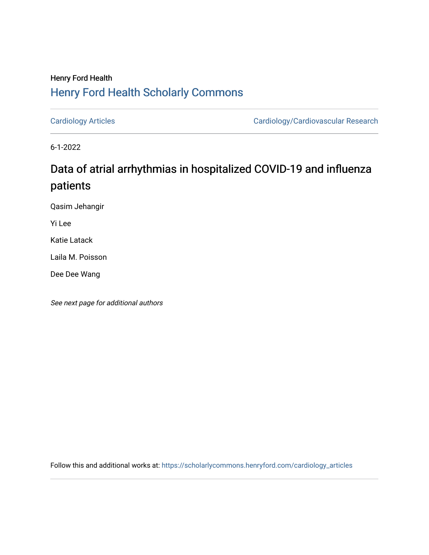## Henry Ford Health [Henry Ford Health Scholarly Commons](https://scholarlycommons.henryford.com/)

[Cardiology Articles](https://scholarlycommons.henryford.com/cardiology_articles) [Cardiology/Cardiovascular Research](https://scholarlycommons.henryford.com/cardiology) 

6-1-2022

# Data of atrial arrhythmias in hospitalized COVID-19 and influenza patients

Qasim Jehangir

Yi Lee

Katie Latack

Laila M. Poisson

Dee Dee Wang

See next page for additional authors

Follow this and additional works at: [https://scholarlycommons.henryford.com/cardiology\\_articles](https://scholarlycommons.henryford.com/cardiology_articles?utm_source=scholarlycommons.henryford.com%2Fcardiology_articles%2F915&utm_medium=PDF&utm_campaign=PDFCoverPages)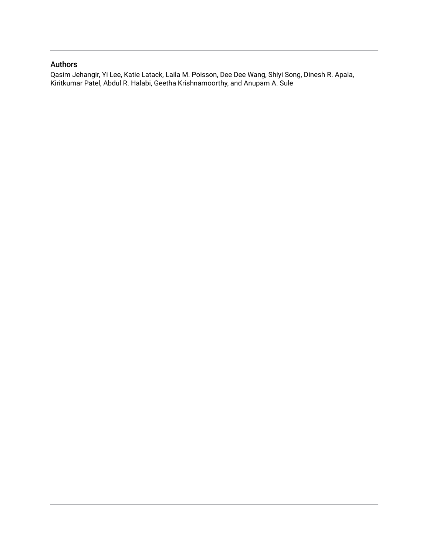### Authors

Qasim Jehangir, Yi Lee, Katie Latack, Laila M. Poisson, Dee Dee Wang, Shiyi Song, Dinesh R. Apala, Kiritkumar Patel, Abdul R. Halabi, Geetha Krishnamoorthy, and Anupam A. Sule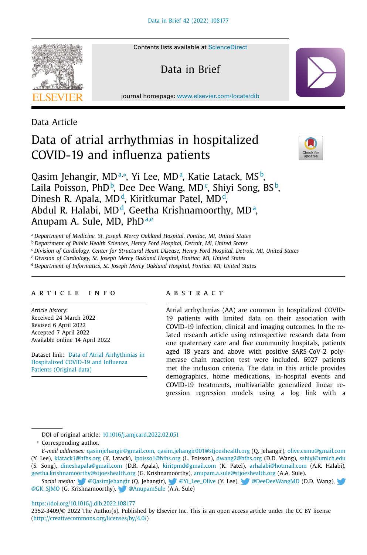

Contents lists available at [ScienceDirect](http://www.ScienceDirect.com)

Data in Brief

journal homepage: [www.elsevier.com/locate/dib](http://www.elsevier.com/locate/dib)

Data Article

## Data of atrial arrhythmias in hospitalized COVID-19 and influenza patients



Qasim Jehangir, MDª,\*, Yi Lee, MDª, Katie Latack, MS♭, Laila Poisson, PhD<sup>b</sup>, Dee Dee Wang, MD<sup>c</sup>, Shiyi Song, BS<sup>b</sup>, Dinesh R. Apala, MD<sup>d</sup>, Kiritkumar Patel, MD<sup>d</sup>, Abdul R. Halabi, MD<sup>،</sup>, Geetha Krishnamoorthy, MD<sup>.</sup>, Anupam A. Sule, MD,  $PhD^{a,e}$ 

<sup>a</sup> *Department of Medicine, St. Joseph Mercy Oakland Hospital, Pontiac, MI, United States*

<sup>b</sup> *Department of Public Health Sciences, Henry Ford Hospital, Detroit, MI, United States*

<sup>c</sup> *Division of Cardiology, Center for Structural Heart Disease, Henry Ford Hospital, Detroit, MI, United States*

<sup>d</sup> *Division of Cardiology, St. Joseph Mercy Oakland Hospital, Pontiac, MI, United States*

<sup>e</sup> *Department of Informatics, St. Joseph Mercy Oakland Hospital, Pontiac, MI, United States*

#### a r t i c l e i n f o

*Article history:* Received 24 March 2022 Revised 6 April 2022 Accepted 7 April 2022 Available online 14 April 2022

Dataset link: Data of Atrial Arrhythmias in [Hospitalized](https://journals.elsevier.com/data-in-brief) COVID-19 and Influenza Patients (Original data)

#### A B S T R A C T

Atrial arrhythmias (AA) are common in hospitalized COVID-19 patients with limited data on their association with COVID-19 infection, clinical and imaging outcomes. In the related research article using retrospective research data from one quaternary care and five community hospitals, patients aged 18 years and above with positive SARS-CoV-2 polymerase chain reaction test were included. 6927 patients met the inclusion criteria. The data in this article provides demographics, home medications, in-hospital events and COVID-19 treatments, multivariable generalized linear regression regression models using a log link with a

DOI of original article: [10.1016/j.amjcard.2022.02.051](https://doi.org/10.1016/j.amjcard.2022.02.051)

<sup>∗</sup> Corresponding author.

*E-mail addresses:* [qasimjehangir@gmail.com,](mailto:qasimjehangir@gmail.com) [qasim.jehangir001@stjoeshealth.org](mailto:qasim.jehangir001@stjoeshealth.org) (Q. Jehangir), [olive.csmu@gmail.com](mailto:olive.csmu@gmail.com) (Y. Lee), [klatack1@hfhs.org](mailto:klatack1@hfhs.org) (K. Latack), [lpoisso1@hfhs.org](mailto:lpoisso1@hfhs.org) (L. Poisson), [dwang2@hfhs.org](mailto:dwang2@hfhs.org) (D.D. Wang), [sshiyi@umich.edu](mailto:sshiyi@umich.edu) (S. Song), [dineshapala@gmail.com](mailto:dineshapala@gmail.com) (D.R. Apala), [kiritpmd@gmail.com](mailto:kiritpmd@gmail.com) (K. Patel), [arhalabi@hotmail.com](mailto:arhalabi@hotmail.com) (A.R. Halabi),

[geetha.krishnamoorthy@stjoeshealth.org](mailto:geetha.krishnamoorthy@stjoeshealth.org) (G. Krishnamoorthy), [anupam.a.sule@stjoeshealth.org](mailto:anupam.a.sule@stjoeshealth.org) (A.A. Sule).

Social media: [@QasimJehangir](https://twitter.com/QasimJehangir) (Q. Jehangir), [@Yi\\_Lee\\_Olive](https://twitter.com/Yi_Lee_Olive) (Y. Lee), [@DeeDeeWangMD](https://twitter.com/DeeDeeWangMD) (D.D. Wang), [@GK\\_SJMO](https://twitter.com/GK_SJMO) (G. K[rishn](https://twitter.com/QasimJehangir)amoorthy), [@AnupamSule](https://twitter.com/AnupamSule) [\(A.A](https://twitter.com/Yi_Lee_Olive). Sule)

<https://doi.org/10.1016/j.dib.2022.108177>

2352-3409/© 2022 The Author(s). Published by Elsevier Inc. This is an open access article under the CC BY license [\(http://creativecommons.org/licenses/by/4.0/\)](http://creativecommons.org/licenses/by/4.0/)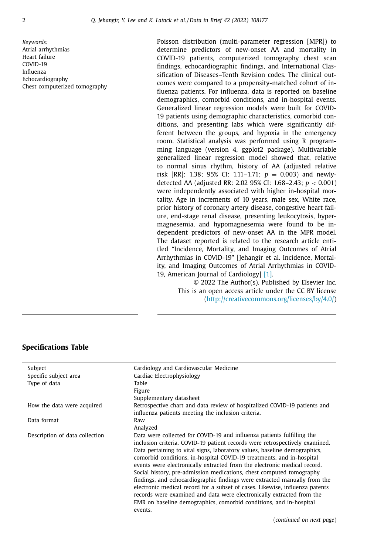*Keywords:* Atrial arrhythmias Heart failure COVID-19 Influenza Echocardiography Chest computerized tomography Poisson distribution (multi-parameter regression [MPR]) to determine predictors of new-onset AA and mortality in COVID-19 patients, computerized tomography chest scan findings, echocardiographic findings, and International Classification of Diseases–Tenth Revision codes. The clinical outcomes were compared to a propensity-matched cohort of influenza patients. For influenza, data is reported on baseline demographics, comorbid conditions, and in-hospital events. Generalized linear regression models were built for COVID-19 patients using demographic characteristics, comorbid conditions, and presenting labs which were significantly different between the groups, and hypoxia in the emergency room. Statistical analysis was performed using R programming language (version 4, ggplot2 package). Multivariable generalized linear regression model showed that, relative to normal sinus rhythm, history of AA (adjusted relative risk [RR]: 1.38; 95% CI: 1.11–1.71; *p* = 0.003) and newlydetected AA (adjusted RR: 2.02 95% CI: 1.68–2.43; *p* < 0.001) were independently associated with higher in-hospital mortality. Age in increments of 10 years, male sex, White race, prior history of coronary artery disease, congestive heart failure, end-stage renal disease, presenting leukocytosis, hypermagnesemia, and hypomagnesemia were found to be independent predictors of new-onset AA in the MPR model. The dataset reported is related to the research article entitled "Incidence, Mortality, and Imaging Outcomes of Atrial Arrhythmias in COVID-19" [Jehangir et al. Incidence, Mortality, and Imaging Outcomes of Atrial Arrhythmias in COVID-19, American Journal of Cardiology] [\[1\].](#page-19-0)

> © 2022 The Author(s). Published by Elsevier Inc. This is an open access article under the CC BY license [\(http://creativecommons.org/licenses/by/4.0/\)](http://creativecommons.org/licenses/by/4.0/)

|  |  | <b>Specifications Table</b> |  |
|--|--|-----------------------------|--|
|  |  |                             |  |

| Subject                        | Cardiology and Cardiovascular Medicine                                                                                                                   |
|--------------------------------|----------------------------------------------------------------------------------------------------------------------------------------------------------|
| Specific subject area          | Cardiac Electrophysiology                                                                                                                                |
| Type of data                   | Table                                                                                                                                                    |
|                                | Figure                                                                                                                                                   |
|                                | Supplementary datasheet                                                                                                                                  |
| How the data were acquired     | Retrospective chart and data review of hospitalized COVID-19 patients and                                                                                |
|                                | influenza patients meeting the inclusion criteria.                                                                                                       |
| Data format                    | Raw                                                                                                                                                      |
|                                | Analyzed                                                                                                                                                 |
| Description of data collection | Data were collected for COVID-19 and influenza patients fulfilling the                                                                                   |
|                                | inclusion criteria. COVID-19 patient records were retrospectively examined.<br>Data pertaining to vital signs, laboratory values, baseline demographics, |
|                                | comorbid conditions, in-hospital COVID-19 treatments, and in-hospital                                                                                    |
|                                | events were electronically extracted from the electronic medical record.                                                                                 |
|                                | Social history, pre-admission medications, chest computed tomography                                                                                     |
|                                | findings, and echocardiographic findings were extracted manually from the                                                                                |
|                                | electronic medical record for a subset of cases. Likewise, influenza patents                                                                             |
|                                | records were examined and data were electronically extracted from the                                                                                    |
|                                | EMR on baseline demographics, comorbid conditions, and in-hospital                                                                                       |
|                                | events.                                                                                                                                                  |
|                                |                                                                                                                                                          |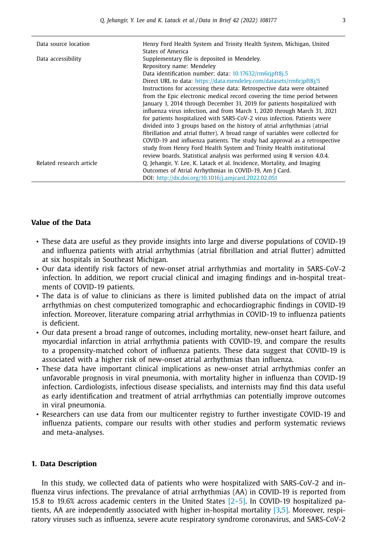| Data source location     | Henry Ford Health System and Trinity Health System, Michigan, United            |
|--------------------------|---------------------------------------------------------------------------------|
|                          | States of America                                                               |
| Data accessibility       | Supplementary file is deposited in Mendeley.                                    |
|                          | Repository name: Mendeley                                                       |
|                          | Data identification number: data: 10.17632/rm6rjpft8j.5                         |
|                          | Direct URL to data: https://data.mendeley.com/datasets/rm6rjpft8j/5             |
|                          | Instructions for accessing these data: Retrospective data were obtained         |
|                          | from the Epic electronic medical record covering the time period between        |
|                          | January 1, 2014 through December 31, 2019 for patients hospitalized with        |
|                          | influenza virus infection, and from March 1, 2020 through March 31, 2021        |
|                          | for patients hospitalized with SARS-CoV-2 virus infection. Patients were        |
|                          | divided into 3 groups based on the history of atrial arrhythmias (atrial        |
|                          | fibrillation and atrial flutter). A broad range of variables were collected for |
|                          | COVID-19 and influenza patients. The study had approval as a retrospective      |
|                          | study from Henry Ford Health System and Trinity Health institutional            |
|                          | review boards. Statistical analysis was performed using R version 4.0.4.        |
| Related research article | Q. Jehangir, Y. Lee, K. Latack et al. Incidence, Mortality, and Imaging         |
|                          | Outcomes of Atrial Arrhythmias in COVID-19, Am J Card.                          |
|                          | DOI: http://dx.doi.org/10.1016/j.amjcard.2022.02.051                            |

#### **Value of the Data**

- These data are useful as they provide insights into large and diverse populations of COVID-19 and influenza patients with atrial arrhythmias (atrial fibrillation and atrial flutter) admitted at six hospitals in Southeast Michigan.
- Our data identify risk factors of new-onset atrial arrhythmias and mortality in SARS-CoV-2 infection. In addition, we report crucial clinical and imaging findings and in-hospital treatments of COVID-19 patients.
- The data is of value to clinicians as there is limited published data on the impact of atrial arrhythmias on chest computerized tomographic and echocardiographic findings in COVID-19 infection. Moreover, literature comparing atrial arrhythmias in COVID-19 to influenza patients is deficient.
- Our data present a broad range of outcomes, including mortality, new-onset heart failure, and myocardial infarction in atrial arrhythmia patients with COVID-19, and compare the results to a propensity-matched cohort of influenza patients. These data suggest that COVID-19 is associated with a higher risk of new-onset atrial arrhythmias than influenza.
- These data have important clinical implications as new-onset atrial arrhythmias confer an unfavorable prognosis in viral pneumonia, with mortality higher in influenza than COVID-19 infection. Cardiologists, infectious disease specialists, and internists may find this data useful as early identification and treatment of atrial arrhythmias can potentially improve outcomes in viral pneumonia.
- Researchers can use data from our multicenter registry to further investigate COVID-19 and influenza patients, compare our results with other studies and perform systematic reviews and meta-analyses.

#### **1. Data Description**

In this study, we collected data of patients who were hospitalized with SARS-CoV-2 and influenza virus infections. The prevalance of atrial arrhythmias (AA) in COVID-19 is reported from 15.8 to 19.6% across academic centers in the United States [\[2–5\].](#page-19-0) In COVID-19 hospitalized patients, AA are independently associated with higher in-hospital mortality [\[3,5\].](#page-19-0) Moreover, respiratory viruses such as influenza, severe acute respiratory syndrome coronavirus, and SARS-CoV-2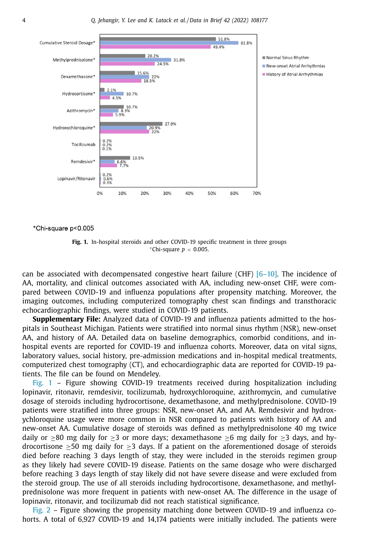

\*Chi-square p<0.005

**Fig. 1.** In-hospital steroids and other COVID-19 specific treatment in three groups <sup>∗</sup>Chi-square *p* < 0.005.

can be associated with decompensated congestive heart failure (CHF)  $[6-10]$ . The incidence of AA, mortality, and clinical outcomes associated with AA, including new-onset CHF, were compared between COVID-19 and influenza populations after propensity matching. Moreover, the imaging outcomes, including computerized tomography chest scan findings and transthoracic echocardiographic findings, were studied in COVID-19 patients.

**Supplementary File:** Analyzed data of COVID-19 and influenza patients admitted to the hospitals in Southeast Michigan. Patients were stratified into normal sinus rhythm (NSR), new-onset AA, and history of AA. Detailed data on baseline demographics, comorbid conditions, and inhospital events are reported for COVID-19 and influenza cohorts. Moreover, data on vital signs, laboratory values, social history, pre-admission medications and in-hospital medical treatments, computerized chest tomography (CT), and echocardiographic data are reported for COVID-19 patients. The file can be found on Mendeley.

Fig. 1 – Figure showing COVID-19 treatments received during hospitalization including lopinavir, ritonavir, remdesivir, tocilizumab, hydroxychloroquine, azithromycin, and cumulative dosage of steroids including hydrocortisone, dexamethasone, and methylprednisolone. COVID-19 patients were stratified into three groups: NSR, new-onset AA, and AA. Remdesivir and hydroxychloroquine usage were more common in NSR compared to patients with history of AA and new-onset AA. Cumulative dosage of steroids was defined as methylprednisolone 40 mg twice daily or  $\geq$ 80 mg daily for  $\geq$ 3 or more days; dexamethasone  $\geq$ 6 mg daily for  $\geq$ 3 days, and hydrocortisone  $>50$  mg daily for  $>3$  days. If a patient on the aforementioned dosage of steroids died before reaching 3 days length of stay, they were included in the steroids regimen group as they likely had severe COVID-19 disease. Patients on the same dosage who were discharged before reaching 3 days length of stay likely did not have severe disease and were excluded from the steroid group. The use of all steroids including hydrocortisone, dexamethasone, and methylprednisolone was more frequent in patients with new-onset AA. The difference in the usage of lopinavir, ritonavir, and tocilizumab did not reach statistical significance.

[Fig.](#page-6-0) 2 – Figure showing the propensity matching done between COVID-19 and influenza cohorts. A total of 6,927 COVID-19 and 14,174 patients were initially included. The patients were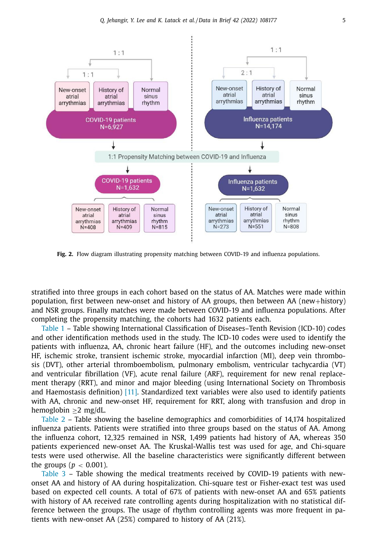<span id="page-6-0"></span>

**Fig. 2.** Flow diagram illustrating propensity matching between COVID-19 and influenza populations.

stratified into three groups in each cohort based on the status of AA. Matches were made within population, first between new-onset and history of AA groups, then between AA (new+history) and NSR groups. Finally matches were made between COVID-19 and influenza populations. After completing the propensity matching, the cohorts had 1632 patients each.

[Table](#page-7-0) 1 – Table showing International Classification of Diseases–Tenth Revision (ICD-10) codes and other identification methods used in the study. The ICD-10 codes were used to identify the patients with influenza, AA, chronic heart failure (HF), and the outcomes including new-onset HF, ischemic stroke, transient ischemic stroke, myocardial infarction (MI), deep vein thrombosis (DVT), other arterial thromboembolism, pulmonary embolism, ventricular tachycardia (VT) and ventricular fibrillation (VF), acute renal failure (ARF), requirement for new renal replacement therapy (RRT), and minor and major bleeding (using International Society on Thrombosis and Haemostasis definition)  $[11]$ . Standardized text variables were also used to identify patients with AA, chronic and new-onset HF, requirement for RRT, along with transfusion and drop in hemoglobin ≥2 mg/dL.

[Table](#page-8-0) 2 – Table showing the baseline demographics and comorbidities of 14,174 hospitalized influenza patients. Patients were stratified into three groups based on the status of AA. Among the influenza cohort, 12,325 remained in NSR, 1,499 patients had history of AA, whereas 350 patients experienced new-onset AA. The Kruskal-Wallis test was used for age, and Chi-square tests were used otherwise. All the baseline characteristics were significantly different between the groups ( $p < 0.001$ ).

[Table](#page-8-0) 3 – Table showing the medical treatments received by COVID-19 patients with newonset AA and history of AA during hospitalization. Chi-square test or Fisher-exact test was used based on expected cell counts. A total of 67% of patients with new-onset AA and 65% patients with history of AA received rate controlling agents during hospitalization with no statistical difference between the groups. The usage of rhythm controlling agents was more frequent in patients with new-onset AA (25%) compared to history of AA (21%).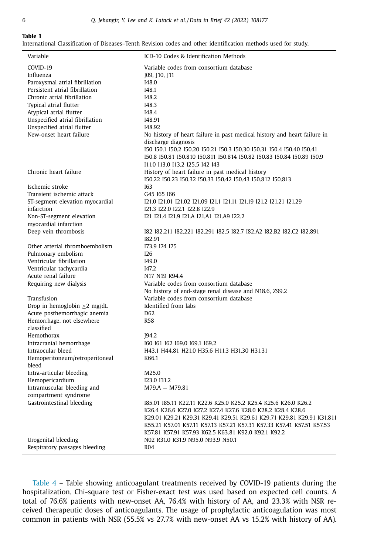$\overline{a}$ 

Ĭ.

<span id="page-7-0"></span>International Classification of Diseases–Tenth Revision codes and other identification methods used for study.

| Variable                                                  | ICD-10 Codes & Identification Methods                                                                                                           |
|-----------------------------------------------------------|-------------------------------------------------------------------------------------------------------------------------------------------------|
| COVID-19                                                  | Variable codes from consortium database                                                                                                         |
| Influenza                                                 | [09, [10, ]11                                                                                                                                   |
| Paroxysmal atrial fibrillation                            | 148.0                                                                                                                                           |
| Persistent atrial fibrillation                            | I48.1                                                                                                                                           |
| Chronic atrial fibrillation                               | 148.2                                                                                                                                           |
| Typical atrial flutter                                    | I48.3                                                                                                                                           |
| Atypical atrial flutter                                   | 148.4                                                                                                                                           |
| Unspecified atrial fibrillation                           | 148.91                                                                                                                                          |
| Unspecified atrial flutter                                | 148.92                                                                                                                                          |
| New-onset heart failure                                   | No history of heart failure in past medical history and heart failure in                                                                        |
|                                                           | discharge diagnosis                                                                                                                             |
|                                                           | 150 150.1 150.2 150.20 150.21 150.3 150.30 150.31 150.4 150.40 150.41<br>150.8 150.81 150.810 150.811 150.814 150.82 150.83 150.84 150.89 150.9 |
|                                                           | 111.0 113.0 113.2 125.5 142 143                                                                                                                 |
| Chronic heart failure                                     | History of heart failure in past medical history                                                                                                |
|                                                           | 150.22 150.23 150.32 150.33 150.42 150.43 150.812 150.813                                                                                       |
| Ischemic stroke                                           | <b>I63</b>                                                                                                                                      |
| Transient ischemic attack                                 | G45 165 166                                                                                                                                     |
| ST-segment elevation myocardial                           | 121.0 121.01 121.02 121.09 121.1 121.11 121.19 121.2 121.21 121.29                                                                              |
| infarction                                                | 121.3 122.0 122.1 122.8 122.9                                                                                                                   |
| Non-ST-segment elevation                                  | I21 I21.4 I21.9 I21.A I21.A1 I21.A9 I22.2                                                                                                       |
| myocardial infarction                                     |                                                                                                                                                 |
| Deep vein thrombosis                                      | I82 I82,211 I82,221 I82,291 I82,5 I82,7 I82,A2 I82,B2 I82,C2 I82,891                                                                            |
|                                                           | 182.91                                                                                                                                          |
| Other arterial thromboembolism                            | 173.9 174 175                                                                                                                                   |
| Pulmonary embolism                                        | 126                                                                                                                                             |
| Ventricular fibrillation                                  | I49.0                                                                                                                                           |
| Ventricular tachycardia                                   | I47.2                                                                                                                                           |
| Acute renal failure                                       | N17 N19 R94.4                                                                                                                                   |
| Requiring new dialysis                                    | Variable codes from consortium database                                                                                                         |
| Transfusion                                               | No history of end-stage renal disease and N18.6, Z99.2<br>Variable codes from consortium database                                               |
|                                                           | Identified from labs                                                                                                                            |
| Drop in hemoglobin $\geq 2$ mg/dL                         | D <sub>62</sub>                                                                                                                                 |
| Acute posthemorrhagic anemia<br>Hemorrhage, not elsewhere | <b>R58</b>                                                                                                                                      |
| classified                                                |                                                                                                                                                 |
| Hemothorax                                                | [94.2]                                                                                                                                          |
| Intracranial hemorrhage                                   | 160 161 162 169.0 169.1 169.2                                                                                                                   |
| Intraocular bleed                                         | H43.1 H44.81 H21.0 H35.6 H11.3 H31.30 H31.31                                                                                                    |
| Hemoperitoneum/retroperitoneal                            | K66.1                                                                                                                                           |
| bleed                                                     |                                                                                                                                                 |
| Intra-articular bleeding                                  | M25.0                                                                                                                                           |
| Hemopericardium                                           | I23.0 I31.2                                                                                                                                     |
| Intramuscular bleeding and                                | $M79.A + M79.81$                                                                                                                                |
| compartment syndrome                                      |                                                                                                                                                 |
| Gastrointestinal bleeding                                 | 185.01 185.11 K22.11 K22.6 K25.0 K25.2 K25.4 K25.6 K26.0 K26.2                                                                                  |
|                                                           | K26.4 K26.6 K27.0 K27.2 K27.4 K27.6 K28.0 K28.2 K28.4 K28.6                                                                                     |
|                                                           | K29.01 K29.21 K29.31 K29.41 K29.51 K29.61 K29.71 K29.81 K29.91 K31.811                                                                          |
|                                                           | K55.21 K57.01 K57.11 K57.13 K57.21 K57.31 K57.33 K57.41 K57.51 K57.53                                                                           |
|                                                           | K57.81 K57.91 K57.93 K62.5 K63.81 K92.0 K92.1 K92.2                                                                                             |
| Urogenital bleeding                                       | N02 R31.0 R31.9 N95.0 N93.9 N50.1                                                                                                               |
| Respiratory passages bleeding                             | <b>R04</b>                                                                                                                                      |

[Table](#page-9-0) 4 – Table showing anticoagulant treatments received by COVID-19 patients during the hospitalization. Chi-square test or Fisher-exact test was used based on expected cell counts. A total of 76.6% patients with new-onset AA, 76.4% with history of AA, and 23.3% with NSR received therapeutic doses of anticoagulants. The usage of prophylactic anticoagulation was most common in patients with NSR (55.5% vs 27.7% with new-onset AA vs 15.2% with history of AA).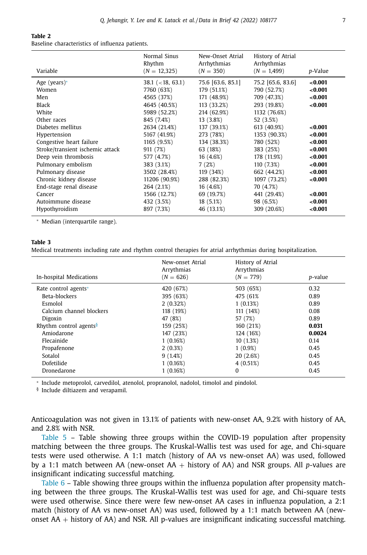<span id="page-8-0"></span>Baseline characteristics of influenza patients.

| Variable                                                                                                                                                                                                                                                                                                                      | Normal Sinus<br>Rhythm<br>$(N = 12,325)$                                                                                                                                                                                                                         | New-Onset Atrial<br>Arrhythmias<br>$(N = 350)$                                                                                                                                                                                                | History of Atrial<br>Arrhythmias<br>$(N = 1.499)$                                                                                                                                                                                                         | p-Value                                                                                                                                             |
|-------------------------------------------------------------------------------------------------------------------------------------------------------------------------------------------------------------------------------------------------------------------------------------------------------------------------------|------------------------------------------------------------------------------------------------------------------------------------------------------------------------------------------------------------------------------------------------------------------|-----------------------------------------------------------------------------------------------------------------------------------------------------------------------------------------------------------------------------------------------|-----------------------------------------------------------------------------------------------------------------------------------------------------------------------------------------------------------------------------------------------------------|-----------------------------------------------------------------------------------------------------------------------------------------------------|
| Age (years) $*$<br>Women<br>Men<br>Black<br>White<br>Other races<br>Diabetes mellitus<br>Hypertension<br>Congestive heart failure<br>Stroke/transient ischemic attack<br>Deep vein thrombosis<br>Pulmonary embolism<br>Pulmonary disease<br>Chronic kidney disease<br>End-stage renal disease<br>Cancer<br>Autoimmune disease | $38.1$ (<18, 63.1)<br>7760 (63%)<br>4565 (37%)<br>4645 (40.5%)<br>5989 (52.2%)<br>845 (7.4%)<br>2634 (21.4%)<br>5167 (41.9%)<br>1165 (9.5%)<br>911 (7%)<br>577 (4.7%)<br>383 (3.1%)<br>3502 (28.4%)<br>11206 (90.9%)<br>264 (2.1%)<br>1566 (12.7%)<br>432 (3.5%) | 75.6 [63.6, 85.1]<br>179 (51.1%)<br>171 (48.9%)<br>113 (33.2%)<br>214 (62.9%)<br>13 (3.8%)<br>137 (39.1%)<br>273 (78%)<br>134 (38.3%)<br>63 (18%)<br>16 (4.6%)<br>7(2%)<br>119 (34%)<br>288 (82.3%)<br>16 (4.6%)<br>69 (19.7%)<br>$18(5.1\%)$ | 75.2 [65.6, 83.6]<br>790 (52.7%)<br>709 (47.3%)<br>293 (19.8%)<br>1132 (76.6%)<br>52 (3.5%)<br>613 (40.9%)<br>1353 (90.3%)<br>780 (52%)<br>383 (25%)<br>178 (11.9%)<br>110 (7.3%)<br>662 (44.2%)<br>1097 (73.2%)<br>70 (4.7%)<br>441 (29.4%)<br>98 (6.5%) | < 0.001<br>< 0.001<br>< 0.001<br>< 0.001<br>< 0.001<br>< 0.001<br><0.001<br><0.001<br>< 0.001<br><0.001<br>< 0.001<br>< 0.001<br>< 0.001<br>< 0.001 |
| Hypothyroidism                                                                                                                                                                                                                                                                                                                | 897 (7.3%)                                                                                                                                                                                                                                                       | 46 (13.1%)                                                                                                                                                                                                                                    | 309 (20.6%)                                                                                                                                                                                                                                               | < 0.001                                                                                                                                             |

<sup>∗</sup> Median (interquartile range).

#### **Table 3**

Medical treatments including rate and rhythm control therapies for atrial arrhythmias during hospitalization.

| In-hospital Medications            | New-onset Atrial<br>Arrythmias<br>$(N = 626)$ | History of Atrial<br>Arrythmias<br>$(N = 779)$ | p-value |
|------------------------------------|-----------------------------------------------|------------------------------------------------|---------|
| Rate control agents*               | 420 (67%)                                     | 503 (65%)                                      | 0.32    |
|                                    |                                               |                                                |         |
| Beta-blockers                      | 395 (63%)                                     | 475 (61%)                                      | 0.89    |
| Esmolol                            | 2(0.32%)                                      | 1(0.13%)                                       | 0.89    |
| Calcium channel blockers           | 118 (19%)                                     | 111 (14%)                                      | 0.08    |
| Digoxin                            | 47 (8%)                                       | 57 (7%)                                        | 0.89    |
| Rhythm control agents <sup>§</sup> | 159 (25%)                                     | 160 (21%)                                      | 0.031   |
| Amiodarone                         | 147 (23%)                                     | 124 (16%)                                      | 0.0024  |
| Flecainide                         | 1(0.16%)                                      | 10(1.3%)                                       | 0.14    |
| Propafenone                        | $2(0.3\%)$                                    | $1(0.9\%)$                                     | 0.45    |
| Sotalol                            | 9(1.4%)                                       | 20 (2.6%)                                      | 0.45    |
| Dofetilide                         | 1(0.16%)                                      | 4(0.51%)                                       | 0.45    |
| Dronedarone                        | 1(0.16%)                                      | $\Omega$                                       | 0.45    |

<sup>∗</sup> Include metoprolol, carvedilol, atenolol, propranolol, nadolol, timolol and pindolol.

§ Include diltiazem and verapamil.

Anticoagulation was not given in 13.1% of patients with new-onset AA, 9.2% with history of AA, and 2.8% with NSR.

[Table](#page-9-0) 5 – Table showing three groups within the COVID-19 population after propensity matching between the three groups. The Kruskal-Wallis test was used for age, and Chi-square tests were used otherwise. A 1:1 match (history of AA vs new-onset AA) was used, followed by a 1:1 match between AA (new-onset AA + history of AA) and NSR groups. All *p*-values are insignificant indicating successful matching.

[Table](#page-10-0) 6 – Table showing three groups within the influenza population after propensity matching between the three groups. The Kruskal-Wallis test was used for age, and Chi-square tests were used otherwise. Since there were few new-onset AA cases in influenza population, a 2:1 match (history of AA vs new-onset AA) was used, followed by a 1:1 match between AA (newonset  $AA$  + history of  $AA$ ) and NSR. All p-values are insignificant indicating successful matching.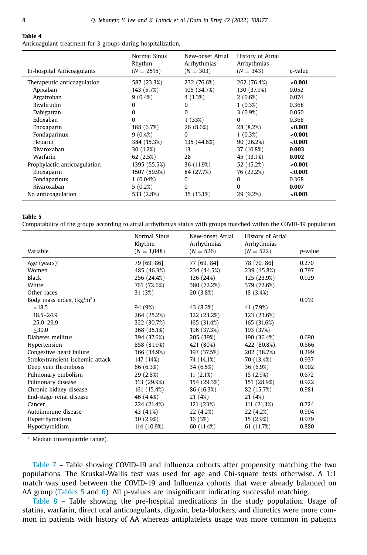<span id="page-9-0"></span>Anticoagulant treatment for 3 groups during hospitalization.

| In-hospital Anticoagulants   | Normal Sinus<br>Rhythm<br>$(N = 2515)$ | New-onset Atrial<br>Arrhythmias<br>$(N = 303)$ | History of Atrial<br>Arrhythmias<br>$(N = 343)$ | p-value |
|------------------------------|----------------------------------------|------------------------------------------------|-------------------------------------------------|---------|
| Therapeutic anticoagulation  | 587 (23.3%)                            | 232 (76.6%)                                    | 262 (76.4%)                                     | < 0.001 |
| Apixaban                     | 143 (5.7%)                             | 105 (34.7%)                                    | 130 (37.9%)                                     | 0.052   |
| Argatroban                   | $9(0.4\%)$                             | 4 (1.3%)                                       | $2(0.6\%)$                                      | 0.074   |
| Bivalirudin                  | 0                                      | $\Omega$                                       | $1(0.3\%)$                                      | 0.368   |
| Dabigatran                   | $\Omega$                               | $\Omega$                                       | $3(0.9\%)$                                      | 0.050   |
| Edoxaban                     | $\Omega$                               | 1(33%)                                         | $\Omega$                                        | 0.368   |
| Enoxaparin                   | 168 (6.7%)                             | 26 (8.6%)                                      | 28 (8.2%)                                       | < 0.001 |
| Fondaparinux                 | $9(0.4\%)$                             | $\Omega$                                       | $1(0.3\%)$                                      | < 0.001 |
| Heparin                      | 384 (15.3%)                            | 135 (44.6%)                                    | 90 (26.2%)                                      | < 0.001 |
| Rivaroxaban                  | 30 (1.2%)                              | 13                                             | 37 (10.8%)                                      | 0.003   |
| Warfarin                     | 62(2.5%)                               | 28                                             | 45 (13.1%)                                      | 0.002   |
| Prophylactic anticoagulation | 1395 (55.5%)                           | 36 (11.9%)                                     | 52 (15.2%)                                      | < 0.001 |
| Enoxaparin                   | 1507 (59.9%)                           | 84 (27.7%)                                     | 76 (22.2%)                                      | < 0.001 |
| Fondaparinux                 | $1(0.04\%)$                            | $\Omega$                                       | $\Omega$                                        | 0.368   |
| Rivaroxaban                  | 5(0.2%)                                | 0                                              | $\Omega$                                        | 0.007   |
| No anticoagulation           | 533 (2.8%)                             | 35 (13.1%)                                     | 29 (9.2%)                                       | < 0.001 |

#### **Table 5**

Comparability of the groups according to atrial arrhythmias status with groups matched within the COVID-19 population.

|                                  | Normal Sinus<br>Rhythm | New-onset Atrial<br>Arrhythmias | History of Atrial<br>Arrhythmias |                 |
|----------------------------------|------------------------|---------------------------------|----------------------------------|-----------------|
| Variable                         | $(N = 1,048)$          | $(N = 526)$                     | $(N = 522)$                      | <i>p</i> -value |
| Age (years) $*$                  | 79 [69, 86]            | 77 [69, 84]                     | 78 [70, 86]                      | 0.270           |
| Women                            | 485 (46.3%)            | 234 (44.5%)                     | 239 (45.8%)                      | 0.797           |
| Black                            | 256 (24.4%)            | 126 (24%)                       | 125 (23.9%)                      | 0.929           |
| White                            | 761 (72.6%)            | 380 (72.2%)                     | 379 (72.6%)                      |                 |
| Other races                      | 31(3%)                 | 20 (3.8%)                       | 18 (3.4%)                        |                 |
| Body mass index, $(kg/m2)$       |                        |                                 |                                  | 0.919           |
| < 18.5                           | 94 (9%)                | 43 (8.2%)                       | 41 (7.9%)                        |                 |
| $18.5 - 24.9$                    | 264 (25.2%)            | 122 (23.2%)                     | 123 (23.6%)                      |                 |
| $25.0 - 29.9$                    | 322 (30.7%)            | 165 (31.4%)                     | 165 (31.6%)                      |                 |
| >30.0                            | 368 (35.1%)            | 196 (37.3%)                     | 193 (37%)                        |                 |
| Diabetes mellitus                | 394 (37.6%)            | 205 (39%)                       | 190 (36.4%)                      | 0.690           |
| Hypertension                     | 858 (81.9%)            | 421 (80%)                       | 422 (80.8%)                      | 0.666           |
| Congestive heart failure         | 366 (34.9%)            | 197 (37.5%)                     | 202 (38.7%)                      | 0.299           |
| Stroke/transient ischemic attack | 147 (14%)              | 74 (14.1%)                      | 70 (13.4%)                       | 0.937           |
| Deep vein thrombosis             | 66 (6.3%)              | 34 (6.5%)                       | 36 (6.9%)                        | 0.902           |
| Pulmonary embolism               | 29 (2.8%)              | 11(2.1%)                        | 15(2.9%)                         | 0.672           |
| Pulmonary disease                | 313 (29.9%)            | 154 (29.3%)                     | 151 (28.9%)                      | 0.922           |
| Chronic kidney disease           | 161 (15.4%)            | 86 (16.3%)                      | 82 (15.7%)                       | 0.981           |
| End-stage renal disease          | 46 (4.4%)              | 21 (4%)                         | 21 (4%)                          |                 |
| Cancer                           | 224 (21.4%)            | 121 (23%)                       | 111 (21.3%)                      | 0.724           |
| Autoimmune disease               | 43 (4.1%)              | 22 (4.2%)                       | 22 (4.2%)                        | 0.994           |
| Hyperthyroidism                  | 30 (2.9%)              | 16(3%)                          | 15(2.9%)                         | 0.979           |
| Hypothyroidism                   | 114 (10.9%)            | 60 (11.4%)                      | 61 (11.7%)                       | 0.880           |

<sup>∗</sup> Median (interquartile range).

[Table](#page-11-0) 7 – Table showing COVID-19 and influenza cohorts after propensity matching the two populations. The Kruskal-Wallis test was used for age and Chi-square tests otherwise. A 1:1 match was used between the COVID-19 and Influenza cohorts that were already balanced on AA group (Tables 5 and [6\)](#page-10-0). All p-values are insignificant indicating successful matching.

[Table](#page-12-0) 8 – Table showing the pre-hospital medications in the study population. Usage of statins, warfarin, direct oral anticoagulants, digoxin, beta-blockers, and diuretics were more common in patients with history of AA whereas antiplatelets usage was more common in patients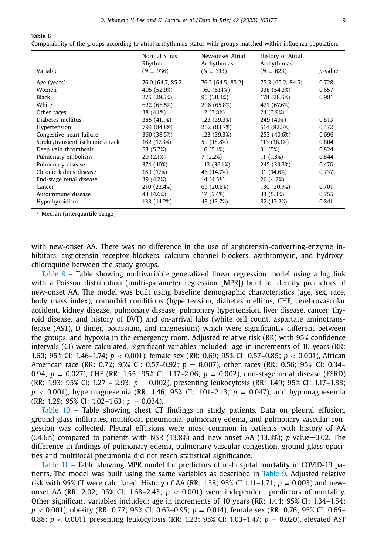| Variable                         | Normal Sinus<br>Rhythm<br>$(N = 936)$ | New-onset Atrial<br>Arrhythmias<br>$(N = 313)$ | History of Atrial<br>Arrhythmias<br>$(N = 623)$ | p-value |
|----------------------------------|---------------------------------------|------------------------------------------------|-------------------------------------------------|---------|
| Age (years) $*$                  | 76.0 [64.7, 85.2]                     | 76.2 [64.5, 85.2]                              | 75.3 [65.2, 84.5]                               | 0.728   |
| Women                            | 495 (52.9%)                           | 160 (51.1%)                                    | 338 (54.3%)                                     | 0.657   |
| Black                            | 276 (29.5%)                           | 95 (30.4%)                                     | 178 (28.6%)                                     | 0.981   |
| White                            | 622 (66.5%)                           | 206 (65.8%)                                    | 421 (67.6%)                                     |         |
| Other races                      | 38 (4.1%)                             | 12(3.8%)                                       | 24 (3.9%)                                       |         |
| Diabetes mellitus                | 385 (41.1%)                           | 123 (39.3%)                                    | 249 (40%)                                       | 0.813   |
| Hypertension                     | 794 (84.8%)                           | 262 (83.7%)                                    | 514 (82.5%)                                     | 0.472   |
| Congestive heart failure         | 360 (38.5%)                           | 123 (39.3%)                                    | 253 (40.6%)                                     | 0.696   |
| Stroke/transient ischemic attack | 162 (17.3%)                           | 59 (18.8%)                                     | 113 (18.1%)                                     | 0.804   |
| Deep vein thrombosis             | 53 (5.7%)                             | 16(5.1%)                                       | 31 (5%)                                         | 0.824   |
| Pulmonary embolism               | 20(2.1%)                              | 7(2.2%)                                        | 11(1.8%)                                        | 0.844   |
| Pulmonary disease                | 374 (40%)                             | 113 (36.1%)                                    | 245 (39.3%)                                     | 0.476   |
| Chronic kidney disease           | 159 (17%)                             | 46 (14.7%)                                     | 91 (14.6%)                                      | 0.737   |
| End-stage renal disease          | 39 (4.2%)                             | 14 (4.5%)                                      | 26 (4.2%)                                       |         |
| Cancer                           | 210 (22.4%)                           | 65 (20.8%)                                     | 130 (20.9%)                                     | 0.701   |
| Autoimmune disease               | 43 (4.6%)                             | 17(5.4%)                                       | 33 (5.3%)                                       | 0.755   |
| Hypothyroidism                   | 133 (14.2%)                           | 43 (13.7%)                                     | 82 (13.2%)                                      | 0.841   |
|                                  |                                       |                                                |                                                 |         |

<span id="page-10-0"></span>Comparability of the groups according to atrial arrhythmias status with groups matched within influenza population.

<sup>∗</sup> Median (interquartile range).

with new-onset AA. There was no difference in the use of angiotensin-converting-enzyme inhibitors, angiotensin receptor blockers, calcium channel blockers, azithromycin, and hydroxychloroquine between the study groups.

[Table](#page-13-0) 9 – Table showing multivariable generalized linear regression model using a log link with a Poisson distribution (multi-parameter regression [MPR]) built to identify predictors of new-onset AA. The model was built using baseline demographic characteristics (age, sex, race, body mass index), comorbid conditions (hypertension, diabetes mellitus, CHF, cerebrovascular accident, kidney disease, pulmonary disease, pulmonary hypertension, liver disease, cancer, thyroid disease, and history of DVT) and on-arrival labs (white cell count, aspartate aminotransferase (AST), D-dimer, potassium, and magnesium) which were significantly different between the groups, and hypoxia in the emergency room. Adjusted relative risk (RR) with 95% confidence intervals (CI) were calculated. Significant variables included: age in increments of 10 years (RR: 1.60; 95% CI: 1.46–1.74; *p* < 0.001), female sex (RR: 0.69; 95% CI: 0.57–0.85; *p* < 0.001), African American race (RR: 0.72; 95% CI: 0.57–0.92; *p* = 0.007), other races (RR: 0.56; 95% CI: 0.34– 0.94; *p* = 0.027), CHF (RR: 1.55; 95% CI: 1.17–2.06; *p* = 0.002), end-stage renal disease (ESRD) (RR: 1.93; 95% CI: 1.27 – 2.93; *p* = 0.002), presenting leukocytosis (RR: 1.49; 95% CI: 1.17–1.88; *p* < 0.001), hypermagnesemia (RR: 1.46; 95% CI: 1.01–2.13; *p* = 0.047), and hypomagnesemia (RR: 1.29; 95% CI: 1.02–1.63; *p* = 0.034).

[Table](#page-14-0) 10 – Table showing chest CT findings in study patients. Data on pleural effusion, ground-glass infiltrates, multifocal pneumonia, pulmonary edema, and pulmonary vascular congestion was collected. Pleural effusions were most common in patients with history of AA (54.6%) compared to patients with NSR (13.8%) and new-onset AA (13.3%); *p*-value=0.02. The difference in findings of pulmonary edema, pulmonary vascular congestion, ground-glass opacities and multifocal pneumonia did not reach statistical significance.

[Table](#page-15-0) 11 – Table showing MPR model for predictors of in-hospital mortality in COVID-19 patients. The model was built using the same variables as described in [Table](#page-13-0) 9. Adjusted relative risk with 95% CI were calculated. History of AA (RR: 1.38; 95% CI 1.11–1.71;  $p = 0.003$ ) and newonset AA (RR: 2.02; 95% CI: 1.68–2.43;  $p < 0.001$ ) were independent predictors of mortality. Other significant variables included: age in increments of 10 years (RR: 1.44; 95% CI: 1.34–1.54; *p* < 0.001), obesity (RR: 0.77; 95% CI: 0.62–0.95; *p* = 0.014), female sex (RR: 0.76; 95% CI: 0.65– 0.88; *p* < 0.001), presenting leukocytosis (RR: 1.23; 95% CI: 1.03–1.47; *p* = 0.020), elevated AST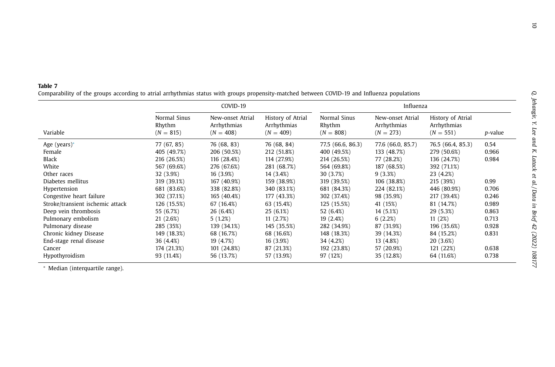<span id="page-11-0"></span>

| . .<br>٠ | . . | $\sim$ |  |  |
|----------|-----|--------|--|--|
|----------|-----|--------|--|--|

**Table 7**<br>Comparability of the groups according to atrial arrhythmias status with groups propensity-matched between COVID-19 and Influenza populations

|                                  |                                       | COVID-19                                       |                                                 |                                       | Influenza                                      |                                                 |                 |
|----------------------------------|---------------------------------------|------------------------------------------------|-------------------------------------------------|---------------------------------------|------------------------------------------------|-------------------------------------------------|-----------------|
| Variable                         | Normal Sinus<br>Rhythm<br>$(N = 815)$ | New-onset Atrial<br>Arrhythmias<br>$(N = 408)$ | History of Atrial<br>Arrhythmias<br>$(N = 409)$ | Normal Sinus<br>Rhythm<br>$(N = 808)$ | New-onset Atrial<br>Arrhythmias<br>$(N = 273)$ | History of Atrial<br>Arrhythmias<br>$(N = 551)$ | <i>p</i> -value |
| Age (years) $*$                  | 77 (67, 85)                           | 76 (68, 83)                                    | 76 (68, 84)                                     | 77.5 (66.6, 86.3)                     | 77.6 (66.0, 85.7)                              | 76.5 (66.4, 85.3)                               | 0.54            |
| Female                           | 405 (49.7%)                           | 206 (50.5%)                                    | 212 (51.8%)                                     | 400 (49.5%)                           | 133 (48.7%)                                    | 279 (50.6%)                                     | 0.966           |
| Black                            | 216 (26.5%)                           | 116 (28.4%)                                    | 114 (27.9%)                                     | 214 (26.5%)                           | 77 (28.2%)                                     | 136 (24.7%)                                     | 0.984           |
| White                            | 567 (69.6%)                           | 276 (67.6%)                                    | 281 (68.7%)                                     | 564 (69.8%)                           | 187 (68.5%)                                    | 392 (71.1%)                                     |                 |
| Other races                      | 32 (3.9%)                             | 16 (3.9%)                                      | 14 (3.4%)                                       | 30 (3.7%)                             | 9(3.3%)                                        | 23 (4.2%)                                       |                 |
| Diabetes mellitus                | 319 (39.1%)                           | 167 (40.9%)                                    | 159 (38.9%)                                     | 319 (39.5%)                           | 106 (38.8%)                                    | 215 (39%)                                       | 0.99            |
| Hypertension                     | 681 (83.6%)                           | 338 (82.8%)                                    | 340 (83.1%)                                     | 681 (84.3%)                           | 224 (82.1%)                                    | 446 (80.9%)                                     | 0.706           |
| Congestive heart failure         | 302 (37.1%)                           | 165 (40.4%)                                    | 177 (43.3%)                                     | 302 (37.4%)                           | 98 (35.9%)                                     | 217 (39.4%)                                     | 0.246           |
| Stroke/transient ischemic attack | 126 (15.5%)                           | 67 (16.4%)                                     | 63 (15.4%)                                      | 125 (15.5%)                           | 41 (15%)                                       | 81 (14.7%)                                      | 0.989           |
| Deep vein thrombosis             | 55 (6.7%)                             | 26 (6.4%)                                      | 25(6.1%)                                        | 52 (6.4%)                             | 14 (5.1%)                                      | 29 (5.3%)                                       | 0.863           |
| Pulmonary embolism               | 21 (2.6%)                             | 5(1.2%)                                        | 11(2.7%)                                        | 19(2.4%)                              | 6(2.2%)                                        | 11(2%)                                          | 0.713           |
| Pulmonary disease                | 285 (35%)                             | 139 (34.1%)                                    | 145 (35.5%)                                     | 282 (34.9%)                           | 87 (31.9%)                                     | 196 (35.6%)                                     | 0.928           |
| Chronic kidney Disease           | 149 (18.3%)                           | 68 (16.7%)                                     | 68 (16.6%)                                      | 148 (18.3%)                           | 39 (14.3%)                                     | 84 (15.2%)                                      | 0.831           |
| End-stage renal disease          | 36 (4.4%)                             | 19 (4.7%)                                      | 16 (3.9%)                                       | 34 (4.2%)                             | 13 (4.8%)                                      | 20 (3.6%)                                       |                 |
| Cancer                           | 174 (21.3%)                           | 101 (24.8%)                                    | 87 (21.3%)                                      | 192 (23.8%)                           | 57 (20.9%)                                     | 121 (22%)                                       | 0.638           |
| Hypothyroidism                   | 93 (11.4%)                            | 56 (13.7%)                                     | 57 (13.9%)                                      | 97 (12%)                              | 35 (12.8%)                                     | 64 (11.6%)                                      | 0.738           |

∗ Median (interquartile range).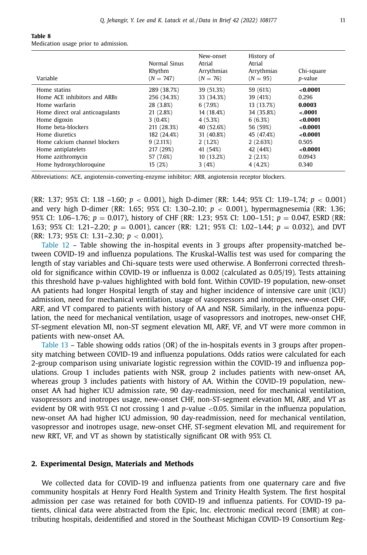<span id="page-12-0"></span>

| Table 8                              |  |  |
|--------------------------------------|--|--|
| Medication usage prior to admission. |  |  |

| Variable                        | Normal Sinus<br>Rhythm<br>$(N = 747)$ | New-onset<br>Atrial<br>Arrythmias<br>$(N = 76)$ | History of<br>Atrial<br>Arrythmias<br>$(N = 95)$ | Chi-square<br><i>p</i> -value |
|---------------------------------|---------------------------------------|-------------------------------------------------|--------------------------------------------------|-------------------------------|
| Home statins                    | 289 (38.7%)                           | 39 (51.3%)                                      | 59 (61%)                                         | <0.0001                       |
| Home ACE inhibitors and ARBs    | 256 (34.3%)                           | 33 (34.3%)                                      | 39 (41%)                                         | 0.296                         |
| Home warfarin                   | 28 (3.8%)                             | 6(7.9%)                                         | 13 (13.7%)                                       | 0.0003                        |
| Home direct oral anticoagulants | 21(2.8%)                              | 14 (18.4%)                                      | 34 (35.8%)                                       | $-.0001$                      |
| Home digoxin                    | $3(0.4\%)$                            | 4 (5.3%)                                        | 6(6.3%)                                          | < 0.0001                      |
| Home beta-blockers              | 211 (28.3%)                           | 40 (52.6%)                                      | 56 (59%)                                         | < 0.0001                      |
| Home diuretics                  | 182 (24.4%)                           | 31 (40.8%)                                      | 45 (47.4%)                                       | <0.0001                       |
| Home calcium channel blockers   | $9(2.11\%)$                           | 2(1.2%)                                         | 2(2.63%)                                         | 0.505                         |
| Home antiplatelets              | 217 (29%)                             | 41 (54%)                                        | 42 (44%)                                         | < 0.0001                      |
| Home azithromycin               | 57 (7.6%)                             | 10(13.2%)                                       | 2(2.1%)                                          | 0.0943                        |
| Home hydroxychloroquine         | 15 (2%)                               | 3(4%)                                           | 4(4.2%)                                          | 0.340                         |

Abbreviations: ACE, angiotensin-converting-enzyme inhibitor; ARB, angiotensin receptor blockers.

(RR: 1.37; 95% CI: 1.18 –1.60; *p* < 0.001), high D-dimer (RR: 1.44; 95% CI: 1.19–1.74; *p* < 0.001) and very high D-dimer (RR: 1.65; 95% CI: 1.30–2.10; *p* < 0.001), hypermagnesemia (RR: 1.36; 95% CI: 1.06–1.76; *p* = 0.017), history of CHF (RR: 1.23; 95% CI: 1.00–1.51; *p* = 0.047, ESRD (RR: 1.63; 95% CI: 1.21–2.20; *p* = 0.001), cancer (RR: 1.21; 95% CI: 1.02–1.44; *p* = 0.032), and DVT (RR: 1.73; 95% CI: 1.31–2.30; *p* < 0.001).

[Table](#page-16-0) 12 – Table showing the in-hospital events in 3 groups after propensity-matched between COVID-19 and influenza populations. The Kruskal-Wallis test was used for comparing the length of stay variables and Chi-square tests were used otherwise. A Bonferroni corrected threshold for significance within COVID-19 or influenza is 0.002 (calculated as 0.05/19). Tests attaining this threshold have p-values highlighted with bold font. Within COVID-19 population, new-onset AA patients had longer Hospital length of stay and higher incidence of intensive care unit (ICU) admission, need for mechanical ventilation, usage of vasopressors and inotropes, new-onset CHF, ARF, and VT compared to patients with history of AA and NSR. Similarly, in the influenza population, the need for mechanical ventilation, usage of vasopressors and inotropes, new-onset CHF, ST-segment elevation MI, non-ST segment elevation MI, ARF, VF, and VT were more common in patients with new-onset AA.

[Table](#page-17-0) 13 – Table showing odds ratios (OR) of the in-hospitals events in 3 groups after propensity matching between COVID-19 and influenza populations. Odds ratios were calculated for each 2-group comparison using univariate logistic regression within the COVID-19 and influenza populations. Group 1 includes patients with NSR, group 2 includes patients with new-onset AA, whereas group 3 includes patients with history of AA. Within the COVID-19 population, newonset AA had higher ICU admission rate, 90 day-readmission, need for mechanical ventilation, vasopressors and inotropes usage, new-onset CHF, non-ST-segment elevation MI, ARF, and VT as evident by OR with 95% CI not crossing 1 and *p*-value <0.05. Similar in the influenza population, new-onset AA had higher ICU admission, 90 day-readmission, need for mechanical ventilation, vasopressor and inotropes usage, new-onset CHF, ST-segment elevation MI, and requirement for new RRT, VF, and VT as shown by statistically significant OR with 95% CI.

#### **2. Experimental Design, Materials and Methods**

We collected data for COVID-19 and influenza patients from one quaternary care and five community hospitals at Henry Ford Health System and Trinity Health System. The first hospital admission per case was retained for both COVID-19 and influenza patients. For COVID-19 patients, clinical data were abstracted from the Epic, Inc. electronic medical record (EMR) at contributing hospitals, deidentified and stored in the Southeast Michigan COVID-19 Consortium Reg-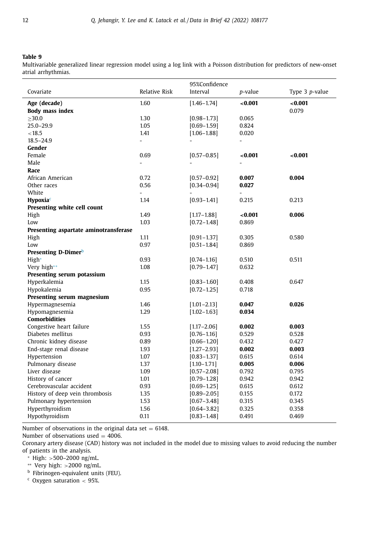<span id="page-13-0"></span>Multivariable generalized linear regression model using a log link with a Poisson distribution for predictors of new-onset atrial arrhythmias. L

|                                       |                | 95%Confidence     |                |                          |
|---------------------------------------|----------------|-------------------|----------------|--------------------------|
| Covariate                             | Relative Risk  | Interval          | p-value        | Type $3$ <i>p</i> -value |
| Age (decade)                          | 1.60           | $[1.46 - 1.74]$   | <0.001         | < 0.001                  |
| <b>Body mass index</b>                |                |                   |                | 0.079                    |
| >30.0                                 | 1.30           | $[0.98 - 1.73]$   | 0.065          |                          |
| $25.0 - 29.9$                         | 1.05           | $[0.69 - 1.59]$   | 0.824          |                          |
| < 18.5                                | 1.41           | $[1.06 - 1.88]$   | 0.020          |                          |
| $18.5 - 24.9$                         | $\overline{a}$ |                   | $\overline{a}$ |                          |
| Gender                                |                |                   |                |                          |
| Female                                | 0.69           | $[0.57 - 0.85]$   | < 0.001        | < 0.001                  |
| Male                                  | $\overline{a}$ |                   | ÷.             |                          |
| Race                                  |                |                   |                |                          |
| African American                      | 0.72           | $[0.57 - 0.92]$   | 0.007          | 0.004                    |
| Other races                           | 0.56           | $[0.34 - 0.94]$   | 0.027          |                          |
| White                                 | $\overline{a}$ |                   |                |                          |
| <b>Hypoxia</b> <sup>c</sup>           | 1.14           | $[0.93 - 1.41]$   | 0.215          | 0.213                    |
| Presenting white cell count           |                |                   |                |                          |
| High                                  | 1.49           | $[1.17 - 1.88]$   | < 0.001        | 0.006                    |
| Low                                   | 1.03           | $[0.72 - 1.48]$   | 0.869          |                          |
| Presenting aspartate aminotransferase |                |                   |                |                          |
| High                                  | 1.11           | $[0.91 - 1.37]$   | 0.305          | 0.580                    |
| Low                                   | 0.97           | $[0.51 - 1.84]$   | 0.869          |                          |
| Presenting D-Dimer <sup>b</sup>       |                |                   |                |                          |
| High*                                 | 0.93           | $[0.74 - 1.16]$   | 0.510          | 0.511                    |
| Very high**                           | 1.08           | $[0.79 - 1.47]$   | 0.632          |                          |
| Presenting serum potassium            |                |                   |                |                          |
| Hyperkalemia                          | 1.15           | $[0.83 - 1.60]$   | 0.408          | 0.647                    |
| Hypokalemia                           | 0.95           | $[0.72 - 1.25]$   | 0.718          |                          |
| Presenting serum magnesium            |                |                   |                |                          |
| Hypermagnesemia                       | 1.46           | $[1.01 - 2.13]$   | 0.047          | 0.026                    |
| Hypomagnesemia                        | 1.29           | $[1.02 - 1.63]$   | 0.034          |                          |
| <b>Comorbidities</b>                  |                |                   |                |                          |
| Congestive heart failure              | 1.55           | $[1.17 - 2.06]$   | 0.002          | 0.003                    |
| Diabetes mellitus                     | 0.93           | $[0.76 - 1.16]$   | 0.529          | 0.528                    |
| Chronic kidney disease                | 0.89           | $[0.66 - 1.20]$   | 0.432          | 0.427                    |
| End-stage renal disease               | 1.93           | $[1, 27 - 2, 93]$ | 0.002          | 0.003                    |
| Hypertension                          | 1.07           | $[0.83 - 1.37]$   | 0.615          | 0.614                    |
| Pulmonary disease                     | 1.37           | $[1.10 - 1.71]$   | 0.005          | 0.006                    |
| Liver disease                         | 1.09           | $[0.57 - 2.08]$   | 0.792          | 0.795                    |
| History of cancer                     | 1.01           | $[0.79 - 1.28]$   | 0.942          | 0.942                    |
| Cerebrovascular accident              | 0.93           | $[0.69 - 1.25]$   | 0.615          | 0.612                    |
| History of deep vein thrombosis       | 1.35           | $[0.89 - 2.05]$   | 0.155          | 0.172                    |
| Pulmonary hypertension                | 1.53           | $[0.67 - 3.48]$   | 0.315          | 0.345                    |
| Hyperthyroidism                       | 1.56           | $[0.64 - 3.82]$   | 0.325          | 0.358                    |
| Hypothyroidism                        | 0.11           | $[0.83 - 1.48]$   | 0.491          | 0.469                    |

Number of observations in the original data set  $= 6148$ .

Number of observations used  $=$  4006.

Coronary artery disease (CAD) history was not included in the model due to missing values to avoid reducing the number of patients in the analysis.

<sup>∗</sup> High: >500–2000 ng/mL.

∗∗ Very high: >2000 ng/mL.

**b** Fibrinogen-equivalent units (FEU).

 $c$  Oxygen saturation  $<$  95%.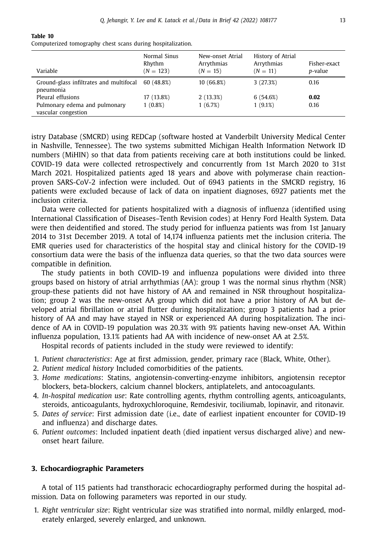| Variable                                             | Normal Sinus<br>Rhythm<br>$(N = 123)$ | New-onset Atrial<br>Arrythmias<br>$(N = 15)$ | History of Atrial<br>Arrythmias<br>$(N = 11)$ | Fisher-exact<br><i>p</i> -value |
|------------------------------------------------------|---------------------------------------|----------------------------------------------|-----------------------------------------------|---------------------------------|
| Ground-glass infiltrates and multifocal<br>pneumonia | 60 (48.8%)                            | 10 (66.8%)                                   | 3(27.3%)                                      | 0.16                            |
| Pleural effusions                                    | 17 (13.8%)                            | 2(13.3%)                                     | 6(54.6%)                                      | 0.02                            |
| Pulmonary edema and pulmonary<br>vascular congestion | $1(0.8\%)$                            | 1(6.7%)                                      | 1(9.1%)                                       | 0.16                            |

<span id="page-14-0"></span>Computerized tomography chest scans during hospitalization.

istry Database (SMCRD) using REDCap (software hosted at Vanderbilt University Medical Center in Nashville, Tennessee). The two systems submitted Michigan Health Information Network ID numbers (MiHIN) so that data from patients receiving care at both institutions could be linked. COVID-19 data were collected retrospectively and concurrently from 1st March 2020 to 31st March 2021. Hospitalized patients aged 18 years and above with polymerase chain reactionproven SARS-CoV-2 infection were included. Out of 6943 patients in the SMCRD registry, 16 patients were excluded because of lack of data on inpatient diagnoses, 6927 patients met the inclusion criteria.

Data were collected for patients hospitalized with a diagnosis of influenza (identified using International Classification of Diseases–Tenth Revision codes) at Henry Ford Health System. Data were then deidentified and stored. The study period for influenza patients was from 1st January 2014 to 31st December 2019. A total of 14,174 influenza patients met the inclusion criteria. The EMR queries used for characteristics of the hospital stay and clinical history for the COVID-19 consortium data were the basis of the influenza data queries, so that the two data sources were compatible in definition.

The study patients in both COVID-19 and influenza populations were divided into three groups based on history of atrial arrhythmias (AA): group 1 was the normal sinus rhythm (NSR) group-these patients did not have history of AA and remained in NSR throughout hospitalization; group 2 was the new-onset AA group which did not have a prior history of AA but developed atrial fibrillation or atrial flutter during hospitalization; group 3 patients had a prior history of AA and may have stayed in NSR or experienced AA during hospitalization. The incidence of AA in COVID-19 population was 20.3% with 9% patients having new-onset AA. Within influenza population, 13.1% patients had AA with incidence of new-onset AA at 2.5%.

Hospital records of patients included in the study were reviewed to identify:

- 1. *Patient characteristics*: Age at first admission, gender, primary race (Black, White, Other).
- 2. *Patient medical history* Included comorbidities of the patients.
- 3. *Home medications*: Statins, angiotensin-converting-enzyme inhibitors, angiotensin receptor blockers, beta-blockers, calcium channel blockers, antiplatelets, and antocoagulants.
- 4. *In-hospital medication use*: Rate controlling agents, rhythm controlling agents, anticoagulants, steroids, anticoagulants, hydroxychloroquine, Remdesivir, tociliumab, lopinavir, and ritonavir.
- 5. *Dates of service*: First admission date (i.e., date of earliest inpatient encounter for COVID-19 and influenza) and discharge dates.
- 6. *Patient outcomes*: Included inpatient death (died inpatient versus discharged alive) and newonset heart failure.

#### **3. Echocardiographic Parameters**

A total of 115 patients had transthoracic echocardiography performed during the hospital admission. Data on following parameters was reported in our study.

1. *Right ventricular size*: Right ventricular size was stratified into normal, mildly enlarged, moderately enlarged, severely enlarged, and unknown.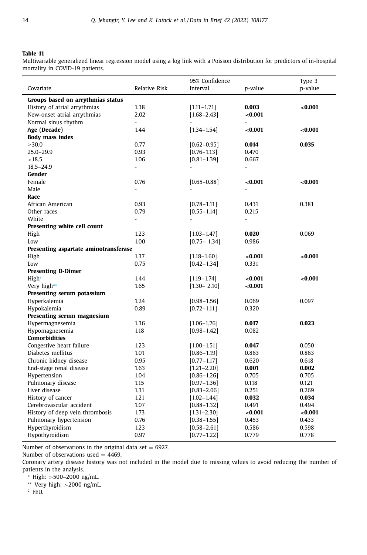<span id="page-15-0"></span>Multivariable generalized linear regression model using a log link with a Poisson distribution for predictors of in-hospital mortality in COVID-19 patients.

| Covariate                             | <b>Relative Risk</b>     | 95% Confidence<br>Interval | p-value        | Type 3<br>p-value |  |
|---------------------------------------|--------------------------|----------------------------|----------------|-------------------|--|
| Groups based on arrythmias status     |                          |                            |                |                   |  |
| History of atrial arrythmias          | 1.38                     | $[1.11 - 1.71]$<br>0.003   |                | < 0.001           |  |
| New-onset atrial arrythmias           | 2.02                     | $[1.68 - 2.43]$            | <0.001         |                   |  |
| Normal sinus rhythm                   | $\overline{\phantom{a}}$ | $\overline{\phantom{0}}$   |                |                   |  |
| Age (Decade)                          | 1.44                     | $[1.34 - 1.54]$            | < 0.001        | < 0.001           |  |
| <b>Body mass index</b>                |                          |                            |                |                   |  |
| >30.0                                 | 0.77                     | $[0.62 - 0.95]$            | 0.014          | 0.035             |  |
| $25.0 - 29.9$                         | 0.93                     | $[0.76 - 1.13]$            | 0.470          |                   |  |
| < 18.5                                | 1.06                     | $[0.81 - 1.39]$            | 0.667          |                   |  |
| $18.5 - 24.9$                         | ÷                        |                            | ÷.             |                   |  |
| Gender                                |                          |                            |                |                   |  |
| Female                                | 0.76                     | $[0.65 - 0.88]$            | < 0.001        | < 0.001           |  |
| Male                                  | $\overline{a}$           |                            | $\overline{a}$ |                   |  |
| Race                                  |                          |                            |                |                   |  |
| African American                      | 0.93                     | $[0.78 - 1.11]$            | 0.431          | 0.381             |  |
| Other races                           | 0.79                     | $[0.55 - 1.14]$            | 0.215          |                   |  |
| White                                 | $\overline{a}$           |                            |                |                   |  |
| Presenting white cell count           |                          |                            |                |                   |  |
| High                                  | 1.23                     | $[1.03 - 1.47]$            | 0.020          | 0.069             |  |
| Low                                   | 1.00                     | $[0.75 - 1.34]$            | 0.986          |                   |  |
| Presenting aspartate aminotransferase |                          |                            |                |                   |  |
| High                                  | 1.37                     | $[1.18 - 1.60]$            | < 0.001        | < 0.001           |  |
| Low                                   | 0.75                     | $[0.42 - 1.34]$            | 0.331          |                   |  |
| Presenting D-Dimer <sup>c</sup>       |                          |                            |                |                   |  |
| High*                                 | 1.44                     | $[1.19 - 1.74]$            | < 0.001        | < 0.001           |  |
| Very high**                           | 1.65                     | $[1.30 - 2.10]$            | < 0.001        |                   |  |
| Presenting serum potassium            |                          |                            |                |                   |  |
| Hyperkalemia                          | 1.24                     | $[0.98 - 1.56]$            | 0.069          | 0.097             |  |
| Hypokalemia                           | 0.89                     | $[0.72 - 1.11]$            | 0.320          |                   |  |
| Presenting serum magnesium            |                          |                            |                |                   |  |
| Hypermagnesemia                       | 1.36                     | $[1.06 - 1.76]$            | 0.017          | 0.023             |  |
| Hypomagnesemia                        | 1.18                     | $[0.98 - 1.42]$            | 0.082          |                   |  |
| <b>Comorbidities</b>                  |                          |                            |                |                   |  |
| Congestive heart failure              | 1.23                     | $[1.00 - 1.51]$            | 0.047          | 0.050             |  |
| Diabetes mellitus                     | 1.01                     | $[0.86 - 1.19]$            | 0.863          | 0.863             |  |
| Chronic kidney disease                | 0.95                     | $[0.77 - 1.17]$            | 0.620          | 0.618             |  |
| End-stage renal disease               | 1.63                     | $[1.21 - 2.20]$            | 0.001          | 0.002             |  |
| Hypertension                          | 1.04                     | $[0.86 - 1.26]$            | 0.705          | 0.705             |  |
| Pulmonary disease                     | 1.15                     | $[0.97 - 1.36]$            | 0.118          | 0.121             |  |
| Liver disease                         | 1.31                     | $[0.83 - 2.06]$            | 0.251          | 0.269             |  |
| History of cancer                     | 1.21                     | $[1.02 - 1.44]$            | 0.032          | 0.034             |  |
| Cerebrovascular accident              | 1.07                     | $[0.88 - 1.32]$            | 0.491          | 0.494             |  |
| History of deep vein thrombosis       | 1.73                     | $[1.31 - 2.30]$            | < 0.001        | < 0.001           |  |
| Pulmonary hypertension                | 0.76                     | $[0.38 - 1.55]$            | 0.453          | 0.433             |  |
| Hyperthyroidism                       | 1.23                     | $[0.58 - 2.61]$            | 0.586          | 0.598             |  |
| Hypothyroidism                        | 0.97                     | $[0.77 - 1.22]$            | 0.779          | 0.778             |  |

Number of observations in the original data set  $= 6927$ .

Number of observations used  $=$  4469.

Coronary artery disease history was not included in the model due to missing values to avoid reducing the number of patients in the analysis.

<sup>∗</sup> High: >500–2000 ng/mL.

∗∗ Very high: >2000 ng/mL.

<sup>c</sup> FEU.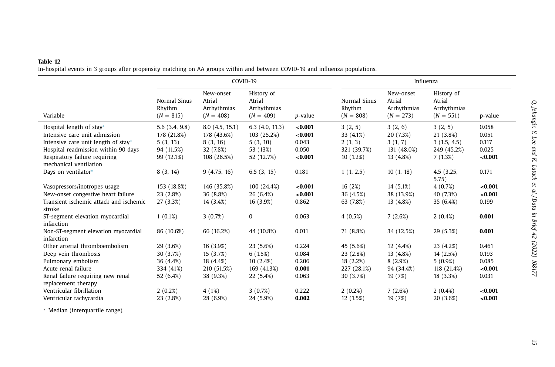<span id="page-16-0"></span>In-hospital events in 3 groups after propensity matching on AA groups within and between COVID-19 and influenza populations.

|                                                                                                                                                                                                    | COVID-19                                                             |                                                                       |                                                                     | Influenza                                       |                                                                |                                                             |                                                                 |                                             |
|----------------------------------------------------------------------------------------------------------------------------------------------------------------------------------------------------|----------------------------------------------------------------------|-----------------------------------------------------------------------|---------------------------------------------------------------------|-------------------------------------------------|----------------------------------------------------------------|-------------------------------------------------------------|-----------------------------------------------------------------|---------------------------------------------|
| Variable                                                                                                                                                                                           | Normal Sinus<br>Rhythm<br>$(N = 815)$                                | New-onset<br>Atrial<br>Arrhythmias<br>$(N = 408)$                     | History of<br>Atrial<br>Arrhythmias<br>$(N = 409)$                  | <i>p</i> -value                                 | Normal Sinus<br>Rhythm<br>$(N = 808)$                          | New-onset<br>Atrial<br>Arrhythmias<br>$(N = 273)$           | History of<br>Atrial<br>Arrhythmias<br>$(N = 551)$              | p-value                                     |
| Hospital length of stay*<br>Intensive care unit admission<br>Intensive care unit length of stay*<br>Hospital readmission within 90 days<br>Respiratory failure requiring<br>mechanical ventilation | 5.6(3.4, 9.8)<br>178 (21.8%)<br>5(3, 13)<br>94 (11.5%)<br>99 (12.1%) | 8.0(4.5, 15.1)<br>178 (43.6%)<br>8(3, 16)<br>32 (7.8%)<br>108 (26.5%) | 6.3(4.0, 11.3)<br>103 (25.2%)<br>5(3, 10)<br>53 (13%)<br>52 (12.7%) | < 0.001<br>< 0.001<br>0.043<br>0.050<br>< 0.001 | 3(2, 5)<br>33 (4.1%)<br>2(1, 3)<br>321 (39.7%)<br>10(1.2%)     | 3(2, 6)<br>20 (7.3%)<br>3(1, 7)<br>131 (48.0%)<br>13 (4.8%) | 3(2, 5)<br>21 (3.8%)<br>3(1.5, 4.5)<br>249 (45.2%)<br>7(1.3%)   | 0.058<br>0.051<br>0.117<br>0.025<br>< 0.001 |
| Days on ventilator*                                                                                                                                                                                | 8(3, 14)                                                             | 9(4.75, 16)                                                           | 6.5(3, 15)                                                          | 0.181                                           | 1(1, 2.5)                                                      | 10(1, 18)                                                   | 4.5 (3.25,<br>5.75)                                             | 0.171                                       |
| Vasopressors/inotropes usage<br>New-onset congestive heart failure<br>Transient ischemic attack and ischemic<br>stroke                                                                             | 153 (18.8%)<br>23 (2.8%)<br>27 (3.3%)                                | 146 (35.8%)<br>36 (8.8%)<br>14 (3.4%)                                 | 100 (24.4%)<br>26 (6.4%)<br>16 (3.9%)                               | < 0.001<br>< 0.001<br>0.862                     | 16(2%)<br>36 (4.5%)<br>63 (7.8%)                               | 14 (5.1%)<br>38 (13.9%)<br>13 (4.8%)                        | 4(0.7%)<br>40 (7.3%)<br>35 (6.4%)                               | < 0.001<br>< 0.001<br>0.199                 |
| ST-segment elevation myocardial<br>infarction                                                                                                                                                      | $1(0.1\%)$                                                           | 3(0.7%)                                                               | 0                                                                   | 0.063                                           | 4(0.5%)                                                        | 7(2.6%)                                                     | $2(0.4\%)$                                                      | 0.001                                       |
| Non-ST-segment elevation myocardial<br>infarction                                                                                                                                                  | 86 (10.6%)                                                           | 66 (16.2%)                                                            | 44 (10.8%)                                                          | 0.011                                           | 71 (8.8%)                                                      | 34 (12.5%)                                                  | 29 (5.3%)                                                       | 0.001                                       |
| Other arterial thromboembolism<br>Deep vein thrombosis<br>Pulmonary embolism<br>Acute renal failure<br>Renal failure requiring new renal<br>replacement therapy                                    | 29 (3.6%)<br>30 (3.7%)<br>36 (4.4%)<br>334 (41%)<br>52 (6.4%)        | 16 (3.9%)<br>15 (3.7%)<br>18 (4.4%)<br>210 (51.5%)<br>38 (9.3%)       | 23 (5.6%)<br>6(1.5%)<br>10(2.4%)<br>169 (41.3%)<br>22 (5.4%)        | 0.224<br>0.084<br>0.206<br>0.001<br>0.063       | 45 (5.6%)<br>23 (2.8%)<br>18(2.2%)<br>227 (28.1%)<br>30 (3.7%) | 12 (4.4%)<br>13 (4.8%)<br>8(2.9%)<br>94 (34.4%)<br>19 (7%)  | 23 (4.2%)<br>14 (2.5%)<br>$5(0.9\%)$<br>118 (21.4%)<br>18(3.3%) | 0.461<br>0.193<br>0.085<br>< 0.001<br>0.031 |
| Ventricular fibrillation<br>Ventricular tachycardia                                                                                                                                                | 2(0.2%)<br>23 (2.8%)                                                 | 4(1%)<br>28 (6.9%)                                                    | 3(0.7%)<br>24 (5.9%)                                                | 0.222<br>0.002                                  | 2(0.2%)<br>12 (1.5%)                                           | 7(2.6%)<br>19 (7%)                                          | $2(0.4\%)$<br>20 (3.6%)                                         | < 0.001<br>< 0.001                          |

∗ Median (interquartile range).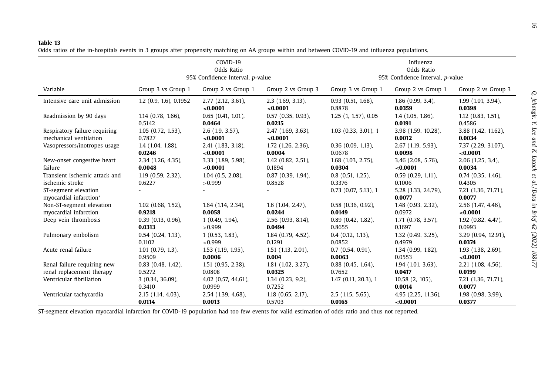<span id="page-17-0"></span>Odds ratios of the in-hospitals events in 3 groups after propensity matching on AA groups within and between COVID-19 and influenza populations.

|                                                | COVID-19<br>Odds Ratio<br>95% Confidence Interval, p-value |                                     |                                   | Influenza<br>Odds Ratio<br>95% Confidence Interval, p-value |                               |                                   |  |
|------------------------------------------------|------------------------------------------------------------|-------------------------------------|-----------------------------------|-------------------------------------------------------------|-------------------------------|-----------------------------------|--|
| Variable                                       | Group 3 vs Group 1                                         | Group 2 vs Group 1                  | Group 2 vs Group 3                | Group 3 vs Group 1                                          | Group 2 vs Group 1            | Group 2 vs Group 3                |  |
| Intensive care unit admission                  | $1.2$ (0.9, 1.6), 0.1952                                   | $2.77$ $(2.12, 3.61)$ ,<br>< 0.0001 | $2.3$ (1.69, 3.13),<br>< 0.0001   | $0.93$ $(0.51, 1.68)$ ,<br>0.8878                           | $1.86(0.99, 3.4)$ ,<br>0.0359 | 1.99(1.01, 3.94)<br>0.0398        |  |
| Readmission by 90 days                         | $1.14$ $(0.78, 1.66)$ ,<br>0.5142                          | $0.65$ $(0.41, 1.01)$ ,<br>0.0464   | $0.57$ $(0.35, 0.93)$ ,<br>0.0215 | 1.25 (1, 1.57), 0.05                                        | $1.4$ (1.05, 1.86),<br>0.0191 | $1.12$ $(0.83, 1.51)$ ,<br>0.4586 |  |
| Respiratory failure requiring                  | $1.05$ $(0.72, 1.53)$ ,                                    | $2.6$ (1.9, 3.57),                  | 2.47 (1.69, 3.63),                | $1.03$ $(0.33, 3.01)$ , 1                                   | 3.98 (1.59, 10.28),           | 3.88 (1.42, 11.62),               |  |
| mechanical ventilation                         | 0.7827                                                     | < 0.0001                            | < 0.0001                          |                                                             | 0.0012                        | 0.0034                            |  |
| Vasopressors/inotropes usage                   | $1.4$ (1.04, 1.88),                                        | 2.41 (1.83, 3.18),                  | 1.72 (1.26, 2.36),                | $0.36$ (0.09, 1.13),                                        | 2.67 (1.19, 5.93),            | 7.37 (2.29, 31.07),               |  |
|                                                | 0.0246                                                     | < 0.0001                            | 0.0004                            | 0.0678                                                      | 0.0098                        | < 0.0001                          |  |
| New-onset congestive heart                     | 2.34 (1.26, 4.35),                                         | 3.33 (1.89, 5.98),                  | $1.42$ (0.82, 2.51),              | $1.68$ $(1.03, 2.75)$ ,                                     | 3.46 (2.08, 5.76),            | $2.06$ (1.25, 3.4),               |  |
| failure                                        | 0.0048                                                     | < 0.0001                            | 0.1894                            | 0.0304                                                      | < 0.0001                      | 0.0034                            |  |
| Transient ischemic attack and                  | $1.19$ $(0.59, 2.32)$ ,                                    | $1.04$ $(0.5, 2.08)$ ,              | $0.87$ $(0.39, 1.94)$ ,           | $0.8$ (0.51, 1.25),                                         | $0.59(0.29, 1.11)$ ,          | $0.74$ $(0.35, 1.46)$ ,           |  |
| ischemic stroke                                | 0.6227                                                     | >0.999                              | 0.8528                            | 0.3376                                                      | 0.1006                        | 0.4305                            |  |
| ST-segment elevation<br>myocardial infarction* |                                                            |                                     |                                   | $0.73$ $(0.07, 5.13)$ , 1                                   | 5.28 (1.33, 24.79),<br>0.0077 | 7.21 (1.36, 71.71),<br>0.0077     |  |
| Non-ST-segment elevation                       | $1.02$ (0.68, 1.52),                                       | 1.64 (1.14, 2.34),                  | $1.6$ $(1.04, 2.47)$ ,            | $0.58$ $(0.36, 0.92)$ ,                                     | 1.48 (0.93, 2.32),            | 2.56 (1.47, 4.46),                |  |
| myocardial infarction                          | 0.9218                                                     | 0.0058                              | 0.0244                            | 0.0149                                                      | 0.0972                        | < 0.0001                          |  |
| Deep vein thrombosis                           | $0.39(0.13, 0.96)$ ,                                       | 1(0.49, 1.94)                       | $2.56$ (0.93, 8.14),              | $0.89(0.42, 1.82)$ ,                                        | $1.71$ $(0.78, 3.57)$ ,       | $1.92$ $(0.82, 4.47)$ ,           |  |
|                                                | 0.0313                                                     | >0.999                              | 0.0494                            | 0.8655                                                      | 0.1697                        | 0.0993                            |  |
| Pulmonary embolism                             | $0.54$ $(0.24, 1.13)$ ,                                    | $1(0.53, 1.83)$ ,                   | $1.84$ (0.79, 4.52),              | $0.4$ (0.12, 1.13),                                         | $1.32$ (0.49, 3.25),          | 3.29 (0.94, 12.91),               |  |
|                                                | 0.1102                                                     | >0.999                              | 0.1291                            | 0.0852                                                      | 0.4979                        | 0.0374                            |  |
| Acute renal failure                            | $1.01$ $(0.79, 1.3)$ ,                                     | 1.53 (1.19, 1.95),                  | $1.51$ $(1.13, 2.01)$ ,           | $0.7$ $(0.54, 0.91)$ ,                                      | 1.34 (0.99, 1.82),            | 1.93 (1.38, 2.69),                |  |
|                                                | 0.9509                                                     | 0.0006                              | 0.004                             | 0.0063                                                      | 0.0553                        | < 0.0001                          |  |
| Renal failure requiring new                    | $0.83$ (0.48, 1.42),                                       | $1.51$ $(0.95, 2.38)$ ,             | 1.81 (1.02, 3.27),                | $0.88$ $(0.45, 1.64)$ ,                                     | $1.94$ (1.01, 3.63),          | 2.21 (1.08, 4.56),                |  |
| renal replacement therapy                      | 0.5272                                                     | 0.0808                              | 0.0325                            | 0.7652                                                      | 0.0417                        | 0.0199                            |  |
| Ventricular fibrillation                       | $3(0.34, 36.09)$ ,<br>0.3410                               | $4.02$ (0.57, 44.61),<br>0.0999     | $1.34(0.23, 9.2)$ ,<br>0.7252     | $1.47$ (0.11, 20.3), 1                                      | $10.58(2, 105)$ ,<br>0.0014   | 7.21 (1.36, 71.71),<br>0.0077     |  |
| Ventricular tachycardia                        | 2.15 (1.14, 4.03),                                         | 2.54 (1.39, 4.68),                  | $1.18$ (0.65, 2.17),              | $2.5$ (1.15, 5.65),                                         | 4.95 (2.25, 11.36),           | 1.98 (0.98, 3.99),                |  |
|                                                | 0.0114                                                     | 0.0013                              | 0.5703                            | 0.0165                                                      | < 0.0001                      | 0.0377                            |  |

ST-segment elevation myocardial infarction for COVID-19 population had too few events for valid estimation of odds ratio and thus not reported.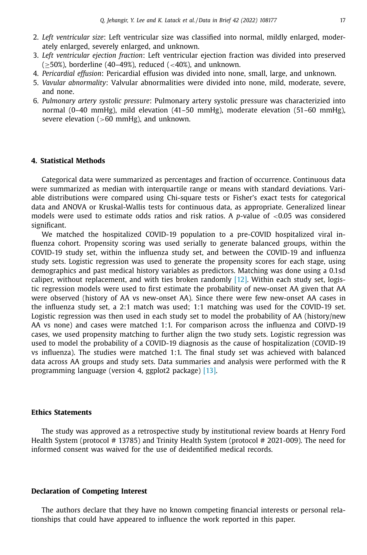- 2. *Left ventricular size*: Left ventricular size was classified into normal, mildly enlarged, moderately enlarged, severely enlarged, and unknown.
- 3. *Left ventricular ejection fraction*: Left ventricular ejection fraction was divided into preserved  $(\geq 50\%)$ , borderline (40–49%), reduced (<40%), and unknown.
- 4. *Pericardial effusion*: Pericardial effusion was divided into none, small, large, and unknown.
- 5. *Vavular abnormality*: Valvular abnormalities were divided into none, mild, moderate, severe, and none.
- 6. *Pulmonary artery systolic pressure*: Pulmonary artery systolic pressure was characterizied into normal (0–40 mmHg), mild elevation (41–50 mmHg), moderate elevation (51–60 mmHg), severe elevation  $(>60 \text{ mmHg})$ , and unknown.

#### **4. Statistical Methods**

Categorical data were summarized as percentages and fraction of occurrence. Continuous data were summarized as median with interquartile range or means with standard deviations. Variable distributions were compared using Chi-square tests or Fisher's exact tests for categorical data and ANOVA or Kruskal-Wallis tests for continuous data, as appropriate. Generalized linear models were used to estimate odds ratios and risk ratios. A *p*-value of <0.05 was considered significant.

We matched the hospitalized COVID-19 population to a pre-COVID hospitalized viral influenza cohort. Propensity scoring was used serially to generate balanced groups, within the COVID-19 study set, within the influenza study set, and between the COVID-19 and influenza study sets. Logistic regression was used to generate the propensity scores for each stage, using demographics and past medical history variables as predictors. Matching was done using a 0.1sd caliper, without replacement, and with ties broken randomly [\[12\].](#page-19-0) Within each study set, logistic regression models were used to first estimate the probability of new-onset AA given that AA were observed (history of AA vs new-onset AA). Since there were few new-onset AA cases in the influenza study set, a 2:1 match was used; 1:1 matching was used for the COVID-19 set. Logistic regression was then used in each study set to model the probability of AA (history/new AA vs none) and cases were matched 1:1. For comparison across the influenza and COIVD-19 cases, we used propensity matching to further align the two study sets. Logistic regression was used to model the probability of a COVID-19 diagnosis as the cause of hospitalization (COVID-19 vs influenza). The studies were matched 1:1. The final study set was achieved with balanced data across AA groups and study sets. Data summaries and analysis were performed with the R programming language (version 4, ggplot2 package) [\[13\].](#page-19-0)

#### **Ethics Statements**

The study was approved as a retrospective study by institutional review boards at Henry Ford Health System (protocol # 13785) and Trinity Health System (protocol # 2021-009). The need for informed consent was waived for the use of deidentified medical records.

#### **Declaration of Competing Interest**

The authors declare that they have no known competing financial interests or personal relationships that could have appeared to influence the work reported in this paper.